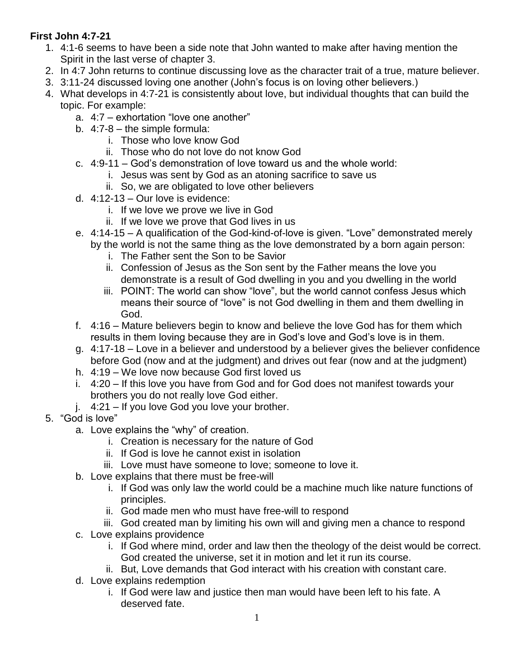## **First John 4:7-21**

- 1. 4:1-6 seems to have been a side note that John wanted to make after having mention the Spirit in the last verse of chapter 3.
- 2. In 4:7 John returns to continue discussing love as the character trait of a true, mature believer.
- 3. 3:11-24 discussed loving one another (John's focus is on loving other believers.)
- 4. What develops in 4:7-21 is consistently about love, but individual thoughts that can build the topic. For example:
	- a. 4:7 exhortation "love one another"
	- b. 4:7-8 the simple formula:
		- i. Those who love know God
		- ii. Those who do not love do not know God
	- c. 4:9-11 God's demonstration of love toward us and the whole world:
		- i. Jesus was sent by God as an atoning sacrifice to save us
			- ii. So, we are obligated to love other believers
	- d. 4:12-13 Our love is evidence:
		- i. If we love we prove we live in God
		- ii. If we love we prove that God lives in us
	- e. 4:14-15 A qualification of the God-kind-of-love is given. "Love" demonstrated merely
		- by the world is not the same thing as the love demonstrated by a born again person:
			- i. The Father sent the Son to be Savior
			- ii. Confession of Jesus as the Son sent by the Father means the love you demonstrate is a result of God dwelling in you and you dwelling in the world
			- iii. POINT: The world can show "love", but the world cannot confess Jesus which means their source of "love" is not God dwelling in them and them dwelling in God.
	- f. 4:16 Mature believers begin to know and believe the love God has for them which results in them loving because they are in God's love and God's love is in them.
	- g. 4:17-18 Love in a believer and understood by a believer gives the believer confidence before God (now and at the judgment) and drives out fear (now and at the judgment)
	- h. 4:19 We love now because God first loved us
	- i. 4:20 If this love you have from God and for God does not manifest towards your brothers you do not really love God either.
	- j. 4:21 If you love God you love your brother.
- 5. "God is love"
	- a. Love explains the "why" of creation.
		- i. Creation is necessary for the nature of God
		- ii. If God is love he cannot exist in isolation
		- iii. Love must have someone to love; someone to love it.
	- b. Love explains that there must be free-will
		- i. If God was only law the world could be a machine much like nature functions of principles.
		- ii. God made men who must have free-will to respond
		- iii. God created man by limiting his own will and giving men a chance to respond
	- c. Love explains providence
		- i. If God where mind, order and law then the theology of the deist would be correct. God created the universe, set it in motion and let it run its course.
		- ii. But, Love demands that God interact with his creation with constant care.
	- d. Love explains redemption
		- i. If God were law and justice then man would have been left to his fate. A deserved fate.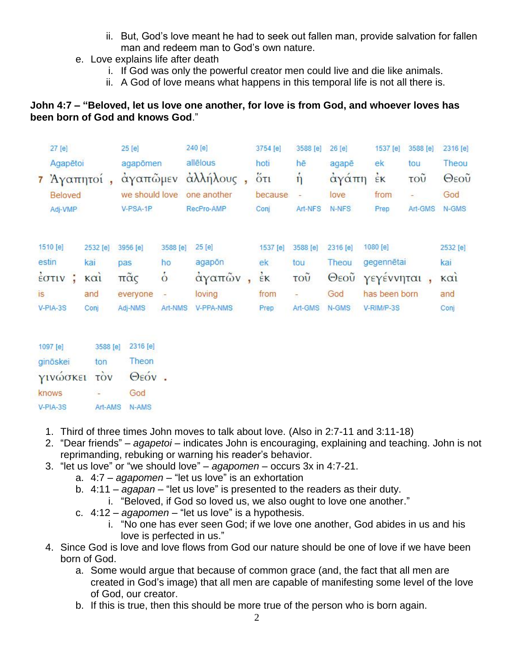- ii. But, God's love meant he had to seek out fallen man, provide salvation for fallen man and redeem man to God's own nature.
- e. Love explains life after death
	- i. If God was only the powerful creator men could live and die like animals.
	- ii. A God of love means what happens in this temporal life is not all there is.

## **John 4:7 – "Beloved, let us love one another, for love is from God, and whoever loves has been born of God and knows God**."

|    | 27 [e]                                   |  |                                | 25 [e]                     |                | 240 [e]                  |      | 3754 [e]                                   | 3588 [e]       | 26 [e]       | 1537 [e]      | 3588 [e]                  | 2316 [e]    |
|----|------------------------------------------|--|--------------------------------|----------------------------|----------------|--------------------------|------|--------------------------------------------|----------------|--------------|---------------|---------------------------|-------------|
|    | Agapētoi                                 |  | agapõmen                       |                            | allēlous       |                          | hoti | hē                                         | agapē          | ek           | tou           | Theou                     |             |
|    | 7 Άγαπητοι<br><b>Beloved</b>             |  |                                | αγαπώμεν<br>we should love |                | άλλήλους,<br>one another |      | $\ddot{\text{o}}$ <sub>Tl</sub><br>because | η<br>÷         | αγάπη        | EK<br>from    | $\overline{\mathrm{TOU}}$ | Θεοῦ<br>God |
|    |                                          |  |                                |                            |                |                          |      |                                            |                | love         |               |                           |             |
|    | Adj-VMP                                  |  |                                | V-PSA-1P                   |                | RecPro-AMP               |      | Conj                                       | Art-NFS        | N-NFS        | Prep          | Art-GMS                   | N-GMS       |
|    |                                          |  |                                |                            |                |                          |      |                                            |                |              |               |                           |             |
|    | 1510 [e]                                 |  | 2532 [e]                       | 3956 [e]                   | 3588 [e]       | 25 [e]                   |      | 1537 [e]                                   | 3588 [e]       | 2316 [e]     | 1080 [e]      |                           | 2532 [e]    |
|    | estin                                    |  | kai                            | pas                        | ho             | agapon                   |      | ek                                         | tou            | Theou        | gegennētai    |                           | kai         |
|    | $\frac{1}{2}$ $\sigma$ $\tau$ $\upsilon$ |  | $\kappa$ $\alpha$ <sub>1</sub> | $π\tilde{α}$ ς             | $\dot{\circ}$  | αγαπών                   |      | EK                                         | τοũ            | $\Theta$ εου | γεγέννηται    |                           | KQ1         |
| is |                                          |  | and                            | everyone                   | $\overline{a}$ | loving                   |      | from                                       | $\overline{a}$ | God          | has been born |                           | and         |
|    | V-PIA-3S                                 |  | Conj                           | Adj-NMS                    | Art-NMS        | <b>V-PPA-NMS</b>         |      | Prep                                       | Art-GMS        | N-GMS        | V-RIM/P-3S    |                           | Conj        |
|    |                                          |  |                                |                            |                |                          |      |                                            |                |              |               |                           |             |

| ton          | Theon |                            |
|--------------|-------|----------------------------|
| γινώσκει τον |       |                            |
|              | God   |                            |
| Art-AMS      | N-AMS |                            |
|              |       | 3588 [e] 2316 [e]<br>Θεόν. |

- 1. Third of three times John moves to talk about love. (Also in 2:7-11 and 3:11-18)
- 2. "Dear friends" *agapetoi* indicates John is encouraging, explaining and teaching. John is not reprimanding, rebuking or warning his reader's behavior.
- 3. "let us love" or "we should love" *agapomen* occurs 3x in 4:7-21.
	- a. 4:7 *agapomen* "let us love" is an exhortation
	- b. 4:11 *agapan* "let us love" is presented to the readers as their duty.
		- i. "Beloved, if God so loved us, we also ought to love one another."
	- c. 4:12 *agapomen* "let us love" is a hypothesis.
		- i. "No one has ever seen God; if we love one another, God abides in us and his love is perfected in us."
- 4. Since God is love and love flows from God our nature should be one of love if we have been born of God.
	- a. Some would argue that because of common grace (and, the fact that all men are created in God's image) that all men are capable of manifesting some level of the love of God, our creator.
	- b. If this is true, then this should be more true of the person who is born again.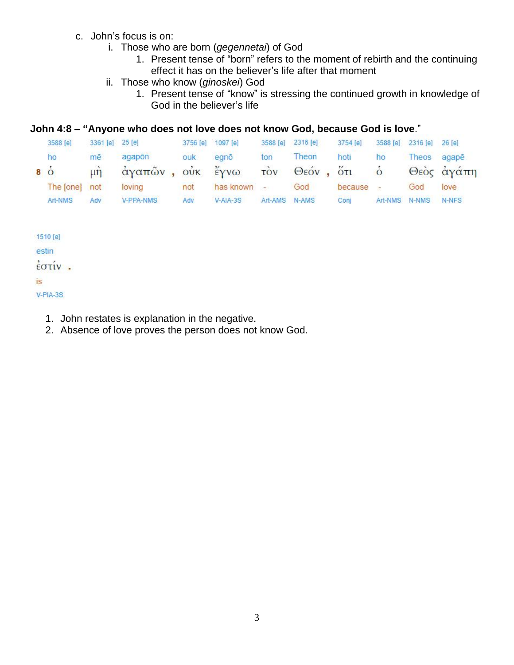- c. John's focus is on:
	- i. Those who are born (*gegennetai*) of God
		- 1. Present tense of "born" refers to the moment of rebirth and the continuing effect it has on the believer's life after that moment
	- ii. Those who know (*ginoskei*) God
		- 1. Present tense of "know" is stressing the continued growth in knowledge of God in the believer's life

## **John 4:8 – "Anyone who does not love does not know God, because God is love**."

| 3588 [e]            | 3361 [e] 25 [e]              |                      |     | 3756 [e] 1097 [e] |               | 3588 [e] 2316 [e] | 3754 [e] | 3588 [e]                 | 2316 [e] 26 [e] |            |
|---------------------|------------------------------|----------------------|-----|-------------------|---------------|-------------------|----------|--------------------------|-----------------|------------|
| ho                  | mē                           | agapon               | ouk | eano              | ton           | Theon             | hoti     | ho                       | Theos agape     |            |
| $\dot{8}$ $\dot{0}$ | $\overrightarrow{\text{un}}$ | άγαπῶν, οὐκ ἔγνω τὸν |     |                   |               | Θεόν, ότι         |          | $\circ$                  |                 | Θεὸς ἀγάπη |
| The [one] not       |                              | loving               | not | has known -       |               | God               | because  | $\overline{\phantom{a}}$ | God             | love       |
| Art-NMS             | Adv                          | V-PPA-NMS            | Adv | $V-AIA-3S$        | Art-AMS N-AMS |                   | Coni     |                          | Art-NMS N-NMS   | N-NFS      |

1510 [e]

estin

 $\frac{1}{2}$  στίν.

## **is**

 $V-PIA-3S$ 

- 1. John restates is explanation in the negative.
- 2. Absence of love proves the person does not know God.